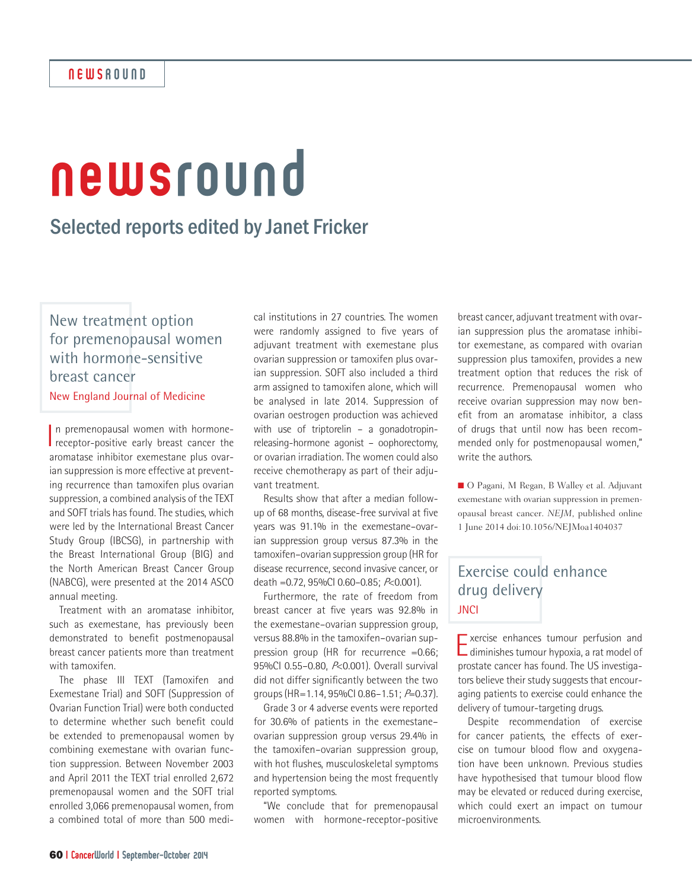# newsround

## Selected reports edited by Janet Fricker

New treatment option for premenopausal women with hormone-sensitive breast cancer New England Journal of Medicine

In premenopausal women with hormone-<br>receptor-positive early breast cancer the In premenopausal women with hormonearomatase inhibitor exemestane plus ovarian suppression is more effective at preventing recurrence than tamoxifen plus ovarian suppression, a combined analysis of the TEXT and SOFT trials has found. The studies, which were led by the International Breast Cancer Study Group (IBCSG), in partnership with the Breast International Group (BIG) and the North American Breast Cancer Group (NABCG), were presented at the 2014 ASCO annual meeting.

Treatment with an aromatase inhibitor, such as exemestane, has previously been demonstrated to benefit postmenopausal breast cancer patients more than treatment with tamoxifen.

The phase III TEXT (Tamoxifen and Exemestane Trial) and SOFT (Suppression of Ovarian Function Trial) were both conducted to determine whether such benefit could be extended to premenopausal women by combining exemestane with ovarian function suppression. Between November 2003 and April 2011 the TEXT trial enrolled 2,672 premenopausal women and the SOFT trial enrolled 3,066 premenopausal women, from a combined total of more than 500 medi-

cal institutions in 27 countries. The women were randomly assigned to five years of adjuvant treatment with exemestane plus ovarian suppression or tamoxifen plus ovarian suppression. SOFT also included a third arm assigned to tamoxifen alone, which will be analysed in late 2014. Suppression of ovarian oestrogen production was achieved with use of triptorelin – a gonadotropinreleasing-hormone agonist – oophorectomy, or ovarian irradiation. The women could also receive chemotherapy as part of their adjuvant treatment.

Results show that after a median followup of 68 months, disease-free survival at five years was 91.1% in the exemestane–ovarian suppression group versus 87.3% in the tamoxifen–ovarian suppression group (HR for disease recurrence, second invasive cancer, or death =0.72, 95%CI 0.60–0.85; P<0.001).

Furthermore, the rate of freedom from breast cancer at five years was 92.8% in the exemestane–ovarian suppression group, versus 88.8% in the tamoxifen–ovarian suppression group (HR for recurrence =0.66; 95%Cl 0.55-0.80, P<0.001). Overall survival did not differ significantly between the two groups (HR=1.14, 95%CI 0.86–1.51; P=0.37).

Grade 3 or 4 adverse events were reported for 30.6% of patients in the exemestane– ovarian suppression group versus 29.4% in the tamoxifen–ovarian suppression group, with hot flushes, musculoskeletal symptoms and hypertension being the most frequently reported symptoms.

"We conclude that for premenopausal women with hormone-receptor-positive

breast cancer, adjuvant treatment with ovarian suppression plus the aromatase inhibitor exemestane, as compared with ovarian suppression plus tamoxifen, provides a new treatment option that reduces the risk of recurrence. Premenopausal women who receive ovarian suppression may now benefit from an aromatase inhibitor, a class of drugs that until now has been recommended only for postmenopausal women," write the authors.

■ O Pagani, M Regan, B Walley et al. Adjuvant exemestane with ovarian suppression in premenopausal breast cancer. *NEJM*, published online 1 June 2014 doi:10.1056/NEJMoa1404037

### Exercise could enhance drug delivery **JNCI**

**Exercise enhances tumour perfusion and**  $\Box$  diminishes tumour hypoxia, a rat model of prostate cancer has found. The US investigators believe their study suggests that encouraging patients to exercise could enhance the delivery of tumour-targeting drugs.

Despite recommendation of exercise for cancer patients, the effects of exercise on tumour blood flow and oxygenation have been unknown. Previous studies have hypothesised that tumour blood flow may be elevated or reduced during exercise, which could exert an impact on tumour microenvironments.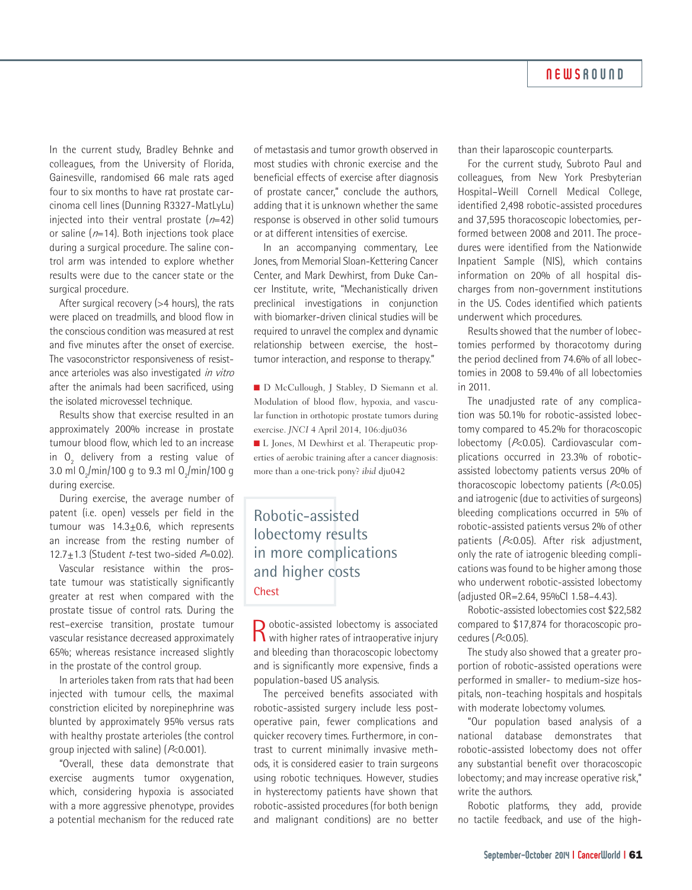#### **NEWSROUND**

In the current study, Bradley Behnke and colleagues, from the University of Florida, Gainesville, randomised 66 male rats aged four to six months to have rat prostate carcinoma cell lines (Dunning R3327-MatLyLu) injected into their ventral prostate  $(n=42)$ or saline ( $n=14$ ). Both injections took place during a surgical procedure. The saline control arm was intended to explore whether results were due to the cancer state or the surgical procedure.

After surgical recovery (>4 hours), the rats were placed on treadmills, and blood flow in the conscious condition was measured at rest and five minutes after the onset of exercise. The vasoconstrictor responsiveness of resistance arterioles was also investigated in vitro after the animals had been sacrificed, using the isolated microvessel technique.

Results show that exercise resulted in an approximately 200% increase in prostate tumour blood flow, which led to an increase in  $O_2$  delivery from a resting value of 3.0 ml  $O_2/m$ in/100 g to 9.3 ml  $O_2/m$ in/100 g during exercise.

During exercise, the average number of patent (i.e. open) vessels per field in the tumour was  $14.3 \pm 0.6$ , which represents an increase from the resting number of 12.7+1.3 (Student *t*-test two-sided  $P=0.02$ ).

Vascular resistance within the prostate tumour was statistically significantly greater at rest when compared with the prostate tissue of control rats. During the rest–exercise transition, prostate tumour vascular resistance decreased approximately 65%; whereas resistance increased slightly in the prostate of the control group.

In arterioles taken from rats that had been injected with tumour cells, the maximal constriction elicited by norepinephrine was blunted by approximately 95% versus rats with healthy prostate arterioles (the control group injected with saline) (P<0.001).

"Overall, these data demonstrate that exercise augments tumor oxygenation, which, considering hypoxia is associated with a more aggressive phenotype, provides a potential mechanism for the reduced rate

of metastasis and tumor growth observed in most studies with chronic exercise and the beneficial effects of exercise after diagnosis of prostate cancer," conclude the authors, adding that it is unknown whether the same response is observed in other solid tumours or at different intensities of exercise.

In an accompanying commentary, Lee Jones, from Memorial Sloan-Kettering Cancer Center, and Mark Dewhirst, from Duke Cancer Institute, write, "Mechanistically driven preclinical investigations in conjunction with biomarker-driven clinical studies will be required to unravel the complex and dynamic relationship between exercise, the host– tumor interaction, and response to therapy."

n D McCullough, J Stabley, D Siemann et al. Modulation of blood flow, hypoxia, and vascular function in orthotopic prostate tumors during exercise. *JNCI* 4 April 2014, 106:dju036 ■ L Jones, M Dewhirst et al. Therapeutic properties of aerobic training after a cancer diagnosis: more than a one-trick pony? *ibid* dju042

Robotic-assisted lobectomy results in more complications and higher costs **Chest** 

R obotic-assisted lobectomy is associated<br>with higher rates of intraoperative injury and bleeding than thoracoscopic lobectomy and is significantly more expensive, finds a population-based US analysis.

The perceived benefits associated with robotic-assisted surgery include less postoperative pain, fewer complications and quicker recovery times. Furthermore, in contrast to current minimally invasive methods, it is considered easier to train surgeons using robotic techniques. However, studies in hysterectomy patients have shown that robotic-assisted procedures (for both benign and malignant conditions) are no better than their laparoscopic counterparts.

For the current study, Subroto Paul and colleagues, from New York Presbyterian Hospital–Weill Cornell Medical College, identified 2,498 robotic-assisted procedures and 37,595 thoracoscopic lobectomies, performed between 2008 and 2011. The procedures were identified from the Nationwide Inpatient Sample (NIS), which contains information on 20% of all hospital discharges from non-government institutions in the US. Codes identified which patients underwent which procedures.

Results showed that the number of lobectomies performed by thoracotomy during the period declined from 74.6% of all lobectomies in 2008 to 59.4% of all lobectomies in 2011.

The unadjusted rate of any complication was 50.1% for robotic-assisted lobectomy compared to 45.2% for thoracoscopic lobectomy (P<0.05). Cardiovascular complications occurred in 23.3% of roboticassisted lobectomy patients versus 20% of thoracoscopic lobectomy patients  $(P<0.05)$ and iatrogenic (due to activities of surgeons) bleeding complications occurred in 5% of robotic-assisted patients versus 2% of other patients (P<0.05). After risk adjustment, only the rate of iatrogenic bleeding complications was found to be higher among those who underwent robotic-assisted lobectomy (adjusted OR=2.64, 95%CI 1.58–4.43).

Robotic-assisted lobectomies cost \$22,582 compared to \$17,874 for thoracoscopic procedures (P<0.05).

The study also showed that a greater proportion of robotic-assisted operations were performed in smaller- to medium-size hospitals, non-teaching hospitals and hospitals with moderate lobectomy volumes.

"Our population based analysis of a national database demonstrates that robotic-assisted lobectomy does not offer any substantial benefit over thoracoscopic lobectomy; and may increase operative risk," write the authors.

Robotic platforms, they add, provide no tactile feedback, and use of the high-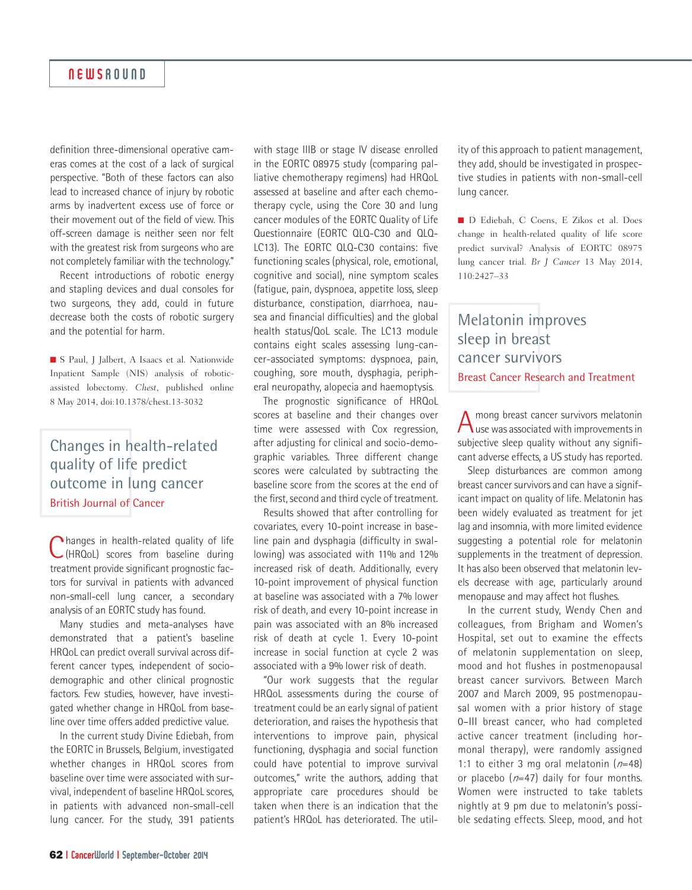definition three-dimensional operative cameras comes at the cost of a lack of surgical perspective. "Both of these factors can also lead to increased chance of injury by robotic arms by inadvertent excess use of force or their movement out of the field of view. This off-screen damage is neither seen nor felt with the greatest risk from surgeons who are not completely familiar with the technology."

Recent introductions of robotic energy and stapling devices and dual consoles for two surgeons, they add, could in future decrease both the costs of robotic surgery and the potential for harm.

■ S Paul, J Jalbert, A Isaacs et al. Nationwide Inpatient Sample (NIS) analysis of roboticassisted lobectomy. *Chest*, published online 8 May 2014, doi:10.1378/chest.13-3032

## Changes in health-related quality of life predict outcome in lung cancer British Journal of Cancer

**Thanges in health-related quality of life** (HRQoL) scores from baseline during treatment provide significant prognostic factors for survival in patients with advanced non-small-cell lung cancer, a secondary analysis of an EORTC study has found.

Many studies and meta-analyses have demonstrated that a patient's baseline HRQoL can predict overall survival across different cancer types, independent of sociodemographic and other clinical prognostic factors. Few studies, however, have investigated whether change in HRQoL from baseline over time offers added predictive value.

In the current study Divine Ediebah, from the EORTC in Brussels, Belgium, investigated whether changes in HRQoL scores from baseline over time were associated with survival, independent of baseline HRQoL scores, in patients with advanced non-small-cell lung cancer. For the study, 391 patients

with stage IIIB or stage IV disease enrolled in the EORTC 08975 study (comparing palliative chemotherapy regimens) had HRQoL assessed at baseline and after each chemotherapy cycle, using the Core 30 and lung cancer modules of the EORTC Quality of Life Questionnaire (EORTC QLQ-C30 and QLQ-LC13). The EORTC QLQ-C30 contains: five functioning scales (physical, role, emotional, cognitive and social), nine symptom scales (fatigue, pain, dyspnoea, appetite loss, sleep disturbance, constipation, diarrhoea, nausea and financial difficulties) and the global health status/QoL scale. The LC13 module contains eight scales assessing lung-cancer-associated symptoms: dyspnoea, pain, coughing, sore mouth, dysphagia, peripheral neuropathy, alopecia and haemoptysis.

The prognostic significance of HRQoL scores at baseline and their changes over time were assessed with Cox regression, after adjusting for clinical and socio-demographic variables. Three different change scores were calculated by subtracting the baseline score from the scores at the end of the first, second and third cycle of treatment.

Results showed that after controlling for covariates, every 10-point increase in baseline pain and dysphagia (difficulty in swallowing) was associated with 11% and 12% increased risk of death. Additionally, every 10-point improvement of physical function at baseline was associated with a 7% lower risk of death, and every 10-point increase in pain was associated with an 8% increased risk of death at cycle 1. Every 10-point increase in social function at cycle 2 was associated with a 9% lower risk of death.

"Our work suggests that the regular HRQoL assessments during the course of treatment could be an early signal of patient deterioration, and raises the hypothesis that interventions to improve pain, physical functioning, dysphagia and social function could have potential to improve survival outcomes," write the authors, adding that appropriate care procedures should be taken when there is an indication that the patient's HRQoL has deteriorated. The util-

ity of this approach to patient management, they add, should be investigated in prospective studies in patients with non-small-cell lung cancer.

n D Ediebah, C Coens, E Zikos et al. Does change in health-related quality of life score predict survival? Analysis of EORTC 08975 lung cancer trial. *Br J Cancer* 13 May 2014, 110:2427–33

## Melatonin improves sleep in breast cancer survivors Breast Cancer Research and Treatment

A mong breast cancer survivors melatonin<br>
Use was associated with improvements in subjective sleep quality without any significant adverse effects, a US study has reported.

Sleep disturbances are common among breast cancer survivors and can have a significant impact on quality of life. Melatonin has been widely evaluated as treatment for jet lag and insomnia, with more limited evidence suggesting a potential role for melatonin supplements in the treatment of depression. It has also been observed that melatonin levels decrease with age, particularly around menopause and may affect hot flushes.

In the current study, Wendy Chen and colleagues, from Brigham and Women's Hospital, set out to examine the effects of melatonin supplementation on sleep, mood and hot flushes in postmenopausal breast cancer survivors. Between March 2007 and March 2009, 95 postmenopausal women with a prior history of stage 0–III breast cancer, who had completed active cancer treatment (including hormonal therapy), were randomly assigned 1:1 to either 3 mg oral melatonin  $(n=48)$ or placebo  $(n=47)$  daily for four months. Women were instructed to take tablets nightly at 9 pm due to melatonin's possible sedating effects. Sleep, mood, and hot